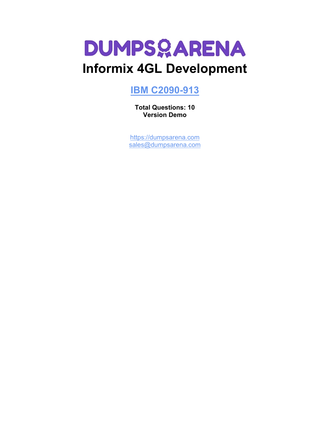

# **Informix 4GL Development**

# **[IBM C2090-913](https://dumpsarena.com/exam/c2090-913/)**

**Total Questions: 10 Version Demo**

[https://dumpsarena.com](https://dumpsarena.com/) [sales@dumpsarena.com](mailto:sales@dumpsarena.com)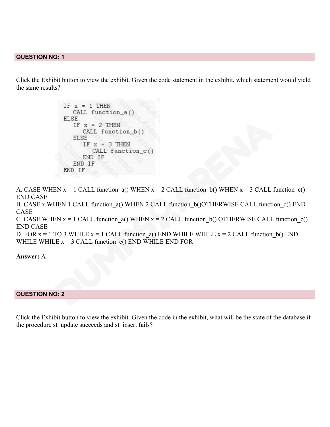### **QUESTION NO: 1**

Click the Exhibit button to view the exhibit. Given the code statement in the exhibit, which statement would yield the same results?

> $IF \ x = 1 THEN$ CALL function\_a() **ELSE** IF  $x = 2$  THEN CALL function\_b() **ELSE** IF  $x = 3$  THEN  $CALL function_c()$ END IF END IF END IF

A. CASE WHEN  $x = 1$  CALL function  $a()$  WHEN  $x = 2$  CALL function b() WHEN  $x = 3$  CALL function  $c()$ END CASE

B. CASE x WHEN 1 CALL function a() WHEN 2 CALL function b()OTHERWISE CALL function c() END CASE

C. CASE WHEN  $x = 1$  CALL function a() WHEN  $x = 2$  CALL function b() OTHERWISE CALL function c() END CASE

D. FOR  $x = 1$  TO 3 WHILE  $x = 1$  CALL function a() END WHILE WHILE  $x = 2$  CALL function b() END WHILE WHILE  $x = 3$  CALL function  $c()$  END WHILE END FOR

**Answer:** A

#### **QUESTION NO: 2**

Click the Exhibit button to view the exhibit. Given the code in the exhibit, what will be the state of the database if the procedure st\_update succeeds and st\_insert fails?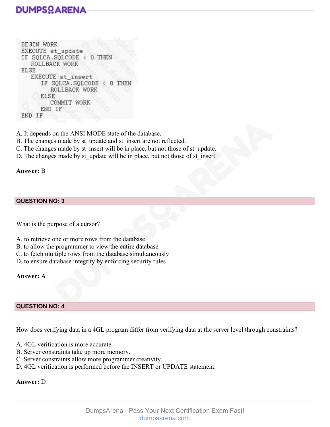# **DUMPSOARENA**

```
BEGIN WORK
EXECUTE st_update
IF SQLCA.SQLCODE < 0 THEN
  ROLLBACK WORK
ELSE
  EXECUTE st_insert
     IF SQLCA.SQLCODE < 0 THEN
        ROLLBACK WORK
     ELSE
        COMMIT WORK
     END IF
END IF
```
A. It depends on the ANSI MODE state of the database.

- B. The changes made by st\_update and st\_insert are not reflected.
- C. The changes made by st insert will be in place, but not those of st update.
- D. The changes made by st\_update will be in place, but not those of st\_insert.

# **Answer:** B

### **QUESTION NO: 3**

What is the purpose of a cursor?

- A. to retrieve one or more rows from the database
- B. to allow the programmer to view the entire database
- C. to fetch multiple rows from the database simultaneously
- D. to ensure database integrity by enforcing security rules

#### **Answer:** A

#### **QUESTION NO: 4**

How does verifying data in a 4GL program differ from verifying data at the server level through constraints?

- A. 4GL verification is more accurate.
- B. Server constraints take up more memory.
- C. Server constraints allow more programmer creativity.
- D. 4GL verification is performed before the INSERT or UPDATE statement.

# **Answer:** D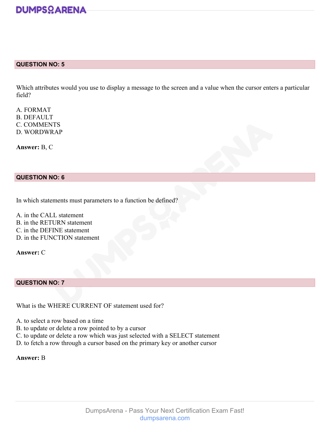

#### **QUESTION NO: 5**

Which attributes would you use to display a message to the screen and a value when the cursor enters a particular field?

A. FORMAT B. DEFAULT C. COMMENTS D. WORDWRAP

**Answer:** B, C

### **QUESTION NO: 6**

In which statements must parameters to a function be defined?

A. in the CALL statement B. in the RETURN statement C. in the DEFINE statement D. in the FUNCTION statement

**Answer:** C

### **QUESTION NO: 7**

What is the WHERE CURRENT OF statement used for?

- A. to select a row based on a time
- B. to update or delete a row pointed to by a cursor
- C. to update or delete a row which was just selected with a SELECT statement
- D. to fetch a row through a cursor based on the primary key or another cursor

#### **Answer:** B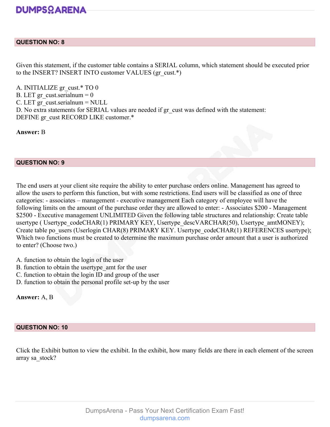# **DUMPSOARENA**

# **QUESTION NO: 8**

Given this statement, if the customer table contains a SERIAL column, which statement should be executed prior to the INSERT? INSERT INTO customer VALUES (gr\_cust.\*)

A. INITIALIZE gr\_cust.\* TO 0 B. LET gr\_cust.serialnum =  $0$  $C.$  LET gr\_cust.serialnum = NULL D. No extra statements for SERIAL values are needed if gr\_cust was defined with the statement: DEFINE gr\_cust RECORD LIKE customer.\*

**Answer:** B

# **QUESTION NO: 9**

The end users at your client site require the ability to enter purchase orders online. Management has agreed to allow the users to perform this function, but with some restrictions. End users will be classified as one of three categories: - associates – management - executive management Each category of employee will have the following limits on the amount of the purchase order they are allowed to enter: - Associates \$200 - Management \$2500 - Executive management UNLIMITED Given the following table structures and relationship: Create table usertype ( Usertype\_codeCHAR(1) PRIMARY KEY, Usertype\_descVARCHAR(50), Usertype\_amtMONEY); Create table po\_users (Userlogin CHAR(8) PRIMARY KEY. Usertype\_codeCHAR(1) REFERENCES usertype); Which two functions must be created to determine the maximum purchase order amount that a user is authorized to enter? (Choose two.)

- A. function to obtain the login of the user
- B. function to obtain the usertype\_amt for the user
- C. function to obtain the login ID and group of the user
- D. function to obtain the personal profile set-up by the user

**Answer:** A, B

# **QUESTION NO: 10**

Click the Exhibit button to view the exhibit. In the exhibit, how many fields are there in each element of the screen array sa\_stock?